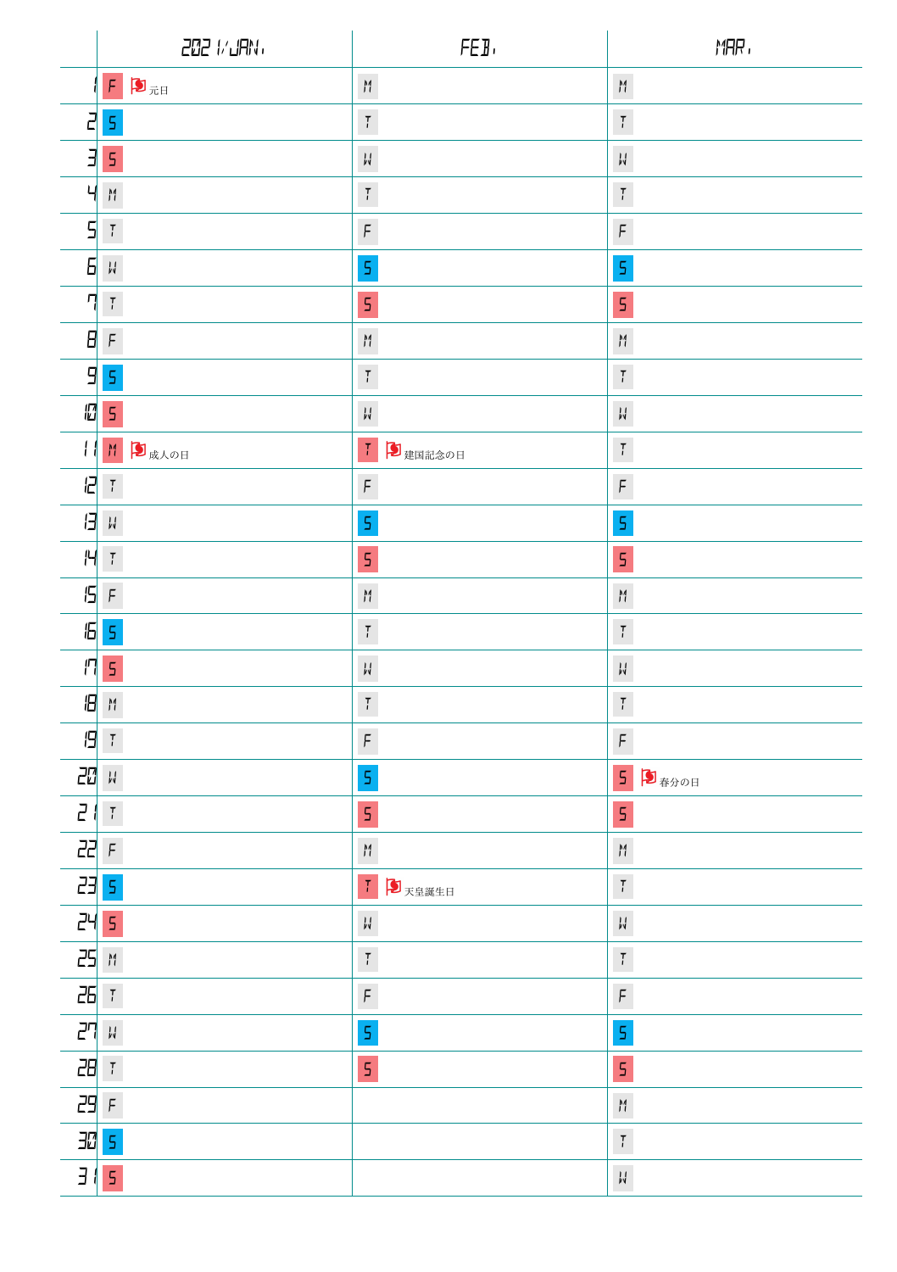|           |                            | 202 1/ JAN               |                                                        | FEB.              |                                          | MAR,  |
|-----------|----------------------------|--------------------------|--------------------------------------------------------|-------------------|------------------------------------------|-------|
|           | $\mathsf F$                | $\textbf{D}_{\vec{\pi}}$ | $\boldsymbol{\mathcal{M}}$                             |                   | $\uparrow$                               |       |
| 2         | $\sf S$                    |                          | $\top$                                                 |                   | $\overline{l}$                           |       |
| E         | $\mathsf S$                |                          | $\mathcal{U}$                                          |                   | $\mathcal{V}^1_{\mathbf{A}}$             |       |
| Ч         | $\boldsymbol{\mathcal{M}}$ |                          | $\mathcal{T}$                                          |                   | $\overline{l}$                           |       |
| 5         | $\boldsymbol{\mathcal{T}}$ |                          | $\digamma$                                             |                   | $\digamma$                               |       |
| 6         | $\frac{1}{p} \frac{1}{q}$  |                          | $\mathsf S$                                            |                   | $\mathsf S$                              |       |
| η         | $\,$ $\,$ $\,$             |                          | 5                                                      |                   | 5                                        |       |
|           | $H$ $F$                    |                          | $\mathop{H}\limits^{\mathop{\scriptsize{M}}\nolimits}$ |                   | M                                        |       |
| 9         | $\mathsf S$                |                          | $\overline{t}$                                         |                   | $\overline{t}$                           |       |
| 個         | $\mathsf S$                |                          | $\mathcal{U}$                                          |                   | $\mathcal{V}$                            |       |
| Н         |                            | M D 成人の日                 |                                                        | <b>T つ 建国記念の日</b> | $\overline{l}$                           |       |
| R         | $\mathcal{T}$              |                          | $\mathsf F$                                            |                   | $\digamma$                               |       |
| Θ         | $\frac{1}{p\sqrt{q}}$      |                          | $\sf S$                                                |                   | 5                                        |       |
| H         | $\mathbb T$                |                          | $\mathsf S$                                            |                   | 5                                        |       |
| 15        | $\digamma$                 |                          | $\boldsymbol{\mathcal{M}}$                             |                   | $\uparrow$                               |       |
| 15        | $\mathsf S$                |                          | $\mathbb T$                                            |                   | $\overline{l}$                           |       |
|           | $\sqrt{15}$                |                          | $\mathcal{V}^I_{\mathbf{v}}$                           |                   | $\mathcal{V}^{\mathcal{I}}_{\mathbf{v}}$ |       |
|           | 旧 M                        |                          | $\overline{t}$                                         |                   | $\overline{l}$                           |       |
| 19        | $\top$                     |                          | $\operatorname{\mathsf{F}}$                            |                   | $\digamma$                               |       |
| 20 W      |                            |                          | $\mathsf S$                                            |                   | $\mathsf S$                              | ■春分の日 |
| 21        | $\ensuremath{\mathsf{T}}$  |                          | 5                                                      |                   | 5                                        |       |
| 22 F      |                            |                          | $\boldsymbol{\mathcal{M}}$                             |                   | $\,eta$                                  |       |
| 23 5      |                            |                          | $\mathcal{T}$                                          | 力天皇誕生日            | $\overline{l}$                           |       |
| 245       |                            |                          | $\mathcal{U}$                                          |                   | $\mathcal{V}$                            |       |
| 25 M      |                            |                          | $\mathcal{T}$                                          |                   | $\overline{l}$                           |       |
| 26 T      |                            |                          | $\digamma$                                             |                   | $\digamma$                               |       |
| 27        | $\frac{1}{p\sqrt{q}}$      |                          | $\mathsf S$                                            |                   | $\mathsf S$                              |       |
| 28 T      |                            |                          | $\mathsf S$                                            |                   | 5                                        |       |
| 29 F      |                            |                          |                                                        |                   | M                                        |       |
| 30 5      |                            |                          |                                                        |                   | $\overline{l}$                           |       |
| $\exists$ | $\mathsf S$                |                          |                                                        |                   | $\mathcal{V}$                            |       |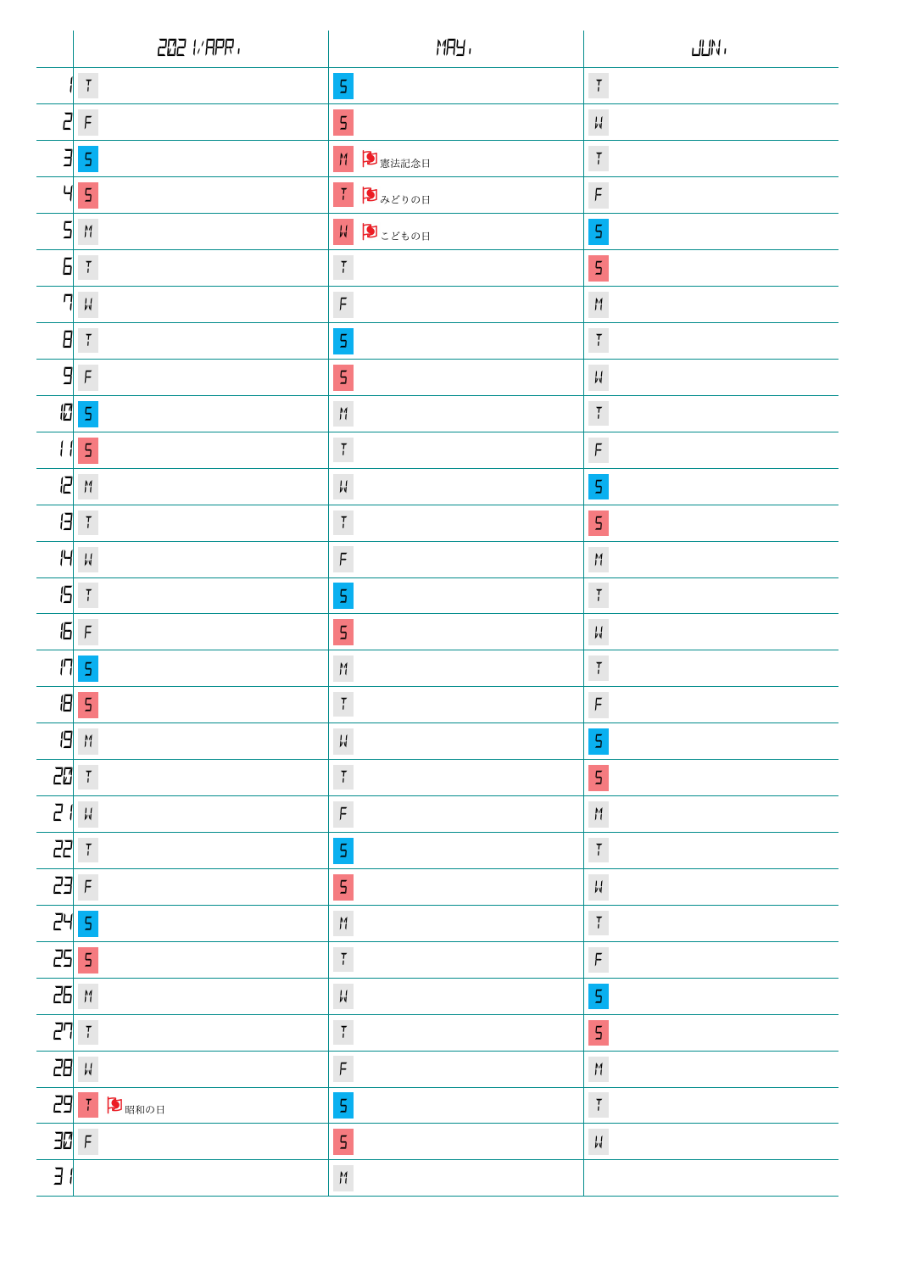|                | 202 1/APR,                      | //阳                                                                             | பி∬√,                       |
|----------------|---------------------------------|---------------------------------------------------------------------------------|-----------------------------|
|                | $\top$                          | $\mathsf S$                                                                     | $\overline{t}$              |
| 리              | $\digamma$                      | 5                                                                               | $\frac{1}{\nu}$             |
| E              | $\mathsf S$                     | M D 憲法記念日                                                                       | $\overline{t}$              |
| Ч              | 5                               | $I$ $32001$                                                                     | $\digamma$                  |
| 5              | ${\tt M}$                       | $W$ $3.500$                                                                     | $\mathsf S$                 |
| 6              | $\mathcal{T}$                   | $\overline{I}$                                                                  | 5                           |
| 7              | $\frac{1}{N}$                   | $\sqrt{r}$                                                                      | $\boldsymbol{\mathcal{M}}$  |
| 8              | $\overline{t}$                  | $\mathsf S$                                                                     | $\overline{l}$              |
|                | 9 F                             | $\mathsf S$                                                                     | $\frac{1}{p}$               |
| 個              | 5                               | M                                                                               | $\boldsymbol{\mathsf{T}}$   |
| Н              | 5                               | $\overline{t}$                                                                  | $\operatorname{\mathsf{F}}$ |
| a              | $\boldsymbol{\mathcal{M}}$      | $\mathcal{V}^I$                                                                 | $\mathsf S$                 |
| Θ              | $\frac{\overline{t}}{t}$        | $\mathbb T$                                                                     | 5                           |
|                | $H$ $W$                         | $\operatorname{\mathsf{F}}$                                                     | M                           |
| 15             | $\overline{t}$                  | $\mathsf S$                                                                     | $\overline{l}$              |
|                | 15 F                            | $\mathsf S$                                                                     | $\frac{1}{N}$               |
| П              | $\mathsf S$                     | $\mathop{}_{\text{M}}^{\text{M}}$                                               | $\boldsymbol{\mathsf{T}}$   |
|                | $\mathbb{B}$ 5                  | $\overline{t}$                                                                  | $\digamma$                  |
|                | <b>19</b> M                     | $\mathcal{V}^{\dagger}_{\mathbf{A}}$                                            | $\mathsf S$                 |
| 20             | $\mathcal{T}$                   | $\mathbb T$                                                                     | 5                           |
| $\overline{c}$ | $\frac{1}{p}\sqrt{\frac{1}{p}}$ | $\operatorname{\mathsf{F}}$                                                     | M                           |
| 22             | $\mathcal{T}$                   | $\mathsf S$                                                                     | $\overline{l}$              |
| 23 F           |                                 | $\mathsf S$                                                                     | $_{\nu}^{\rm I}$            |
| 24             | 5                               | $\mathop{M}\limits^{\mathop{\mathsf{M}}\nolimits}$                              | $\boldsymbol{\mathcal{T}}$  |
| 25 5           |                                 | $\overline{t}$                                                                  | $\sqrt{2}$                  |
|                | $25$ $M$                        | $\overline{\mathcal{W}}$                                                        | $\overline{\mathsf{S}}$     |
| 27             |                                 | $\overline{l}$                                                                  | 5                           |
| 28 M           |                                 | $\operatorname{\mathsf{F}}$                                                     | M                           |
| 29 T           | ■昭和の日                           | $\mathsf S$                                                                     | $\overline{l}$              |
| 30 F           |                                 | 5                                                                               | $\frac{1}{p}\frac{1}{q}$    |
| $\exists$      |                                 | $\mathop{H}\limits^{\mathop{\mathsf{M}}\limits}_{\mathop{\mathsf{I}}\nolimits}$ |                             |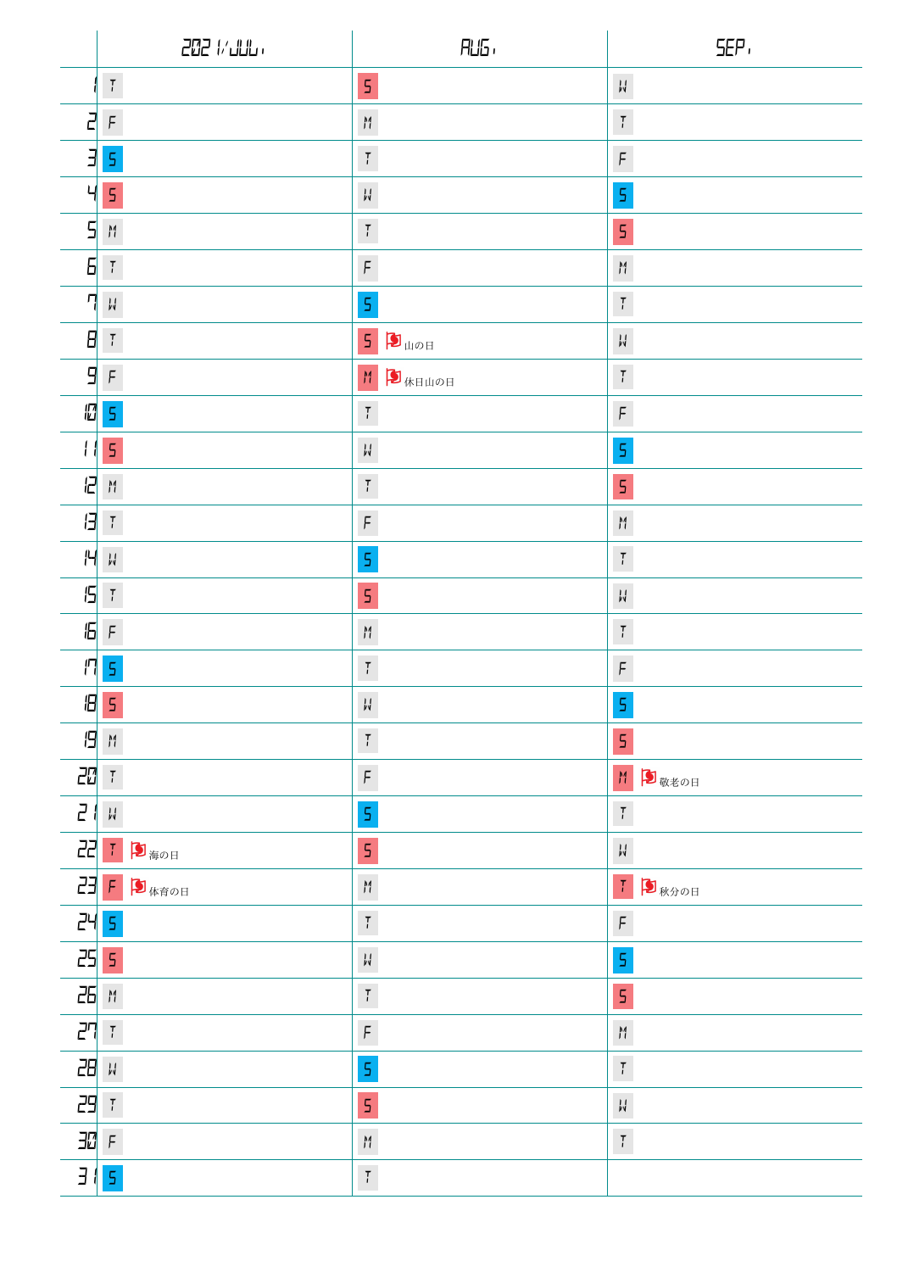|                | 202 1/100                            | $RLG$ .                                                                                      | SEP,                                               |
|----------------|--------------------------------------|----------------------------------------------------------------------------------------------|----------------------------------------------------|
|                | $\mathcal{T}$                        | $\mathsf S$                                                                                  | $\mathop{\downarrow}\mathop{\downarrow}$           |
| 2              | $\operatorname{\mathsf{F}}$          | $\boldsymbol{\mathcal{M}}$                                                                   | $\overline{l}$                                     |
| $\exists$      | 5                                    | $\mathbb T$                                                                                  | F                                                  |
| Ч              | 5                                    | $\mathcal{U}$                                                                                | $\mathsf S$                                        |
| 5              | $\boldsymbol{\mathcal{M}}$           | $\mathcal T$                                                                                 | 5                                                  |
| 6              | $\mathbb T$                          | $\operatorname{\mathsf{F}}$                                                                  | $\mathop{H}\limits^{\mathbf{M}}$                   |
| η              | $\frac{1}{N}$                        | $\mathsf S$                                                                                  | $\overline{l}$                                     |
| Β              | $\mathcal{T}$                        | $5$ $5$ $10$                                                                                 | $\mathcal{V}^1_{\mathbf{A}}$                       |
| 9              | $\digamma$                           | $M$ $\theta$ $*$ $\theta$ $*$                                                                | $\overline{l}$                                     |
| 個              | $\mathsf S$                          | $\mathcal T$                                                                                 | $\digamma$                                         |
| Н              | $\mathsf S$                          | $\mathcal{V}^{\text{f}}_{\text{M}}$                                                          | $\mathsf S$                                        |
| R              | $\boldsymbol{\mathcal{M}}$           | $\mathcal{T}$                                                                                | 5                                                  |
| Θ              | $\mathcal{T}$                        | $\,$ $\,$ $\,$                                                                               | $\mathop{H}\limits^{\mathbf{M}}$                   |
| $\overline{H}$ | $\frac{1}{\nu}$                      | $\mathsf S$                                                                                  | $\overline{l}$                                     |
| 15             | $\ensuremath{\mathsf{T}}$            | $\mathsf S$                                                                                  | $\mathcal{V}^{\mathcal{U}}_{\mathbf{A}}$           |
| 6              | $\,\mathsf F\,$                      | $\mathop{}_{\textstyle\rm{H}}^{\textstyle\rm{M}}$                                            | $\overline{t}$                                     |
| $\sqrt{2}$     | 5                                    | $\overline{t}$                                                                               | $\operatorname{\mathsf{F}}$                        |
| В              | $\mathsf S$                          | $\mathcal{W}$                                                                                | $\mathsf S$                                        |
| 19             | $\bar{H}$                            | $\mathcal{T}$                                                                                | 5                                                  |
| 20             | $\mathcal{T}$                        | $\operatorname{\mathsf{F}}$                                                                  | $\overline{\mathcal{M}}$<br>■敬老の日                  |
| $\overline{c}$ | $\mathcal{V}^{\dagger}_{\mathbf{A}}$ | $\mathsf S$                                                                                  | $\overline{l}$                                     |
| 22             | $\overline{t}$<br>日海の日               | 5                                                                                            | $\mathop{\downarrow}\mathop{\downarrow}$           |
| 23 F           | り体育の日                                | $\mathop{}_{\textstyle\mathop{\it M}\nolimits}^{\textstyle\mathop{\mathop{\rm M}\nolimits}}$ | $\mathcal{T}$<br>■秋分の日                             |
| 24             | 5                                    | $\overline{I}$                                                                               | $\digamma$                                         |
| 25             | $\mathsf S$                          | $\mu$                                                                                        | $\mathsf{S}$                                       |
| 25M            |                                      | $\overline{t}$                                                                               | $\mathsf S$                                        |
| 리 1            |                                      | $\operatorname{\mathsf{F}}$                                                                  | $\mathop{H}\limits^{\scriptscriptstyle\mathsf{M}}$ |
| 28 W           |                                      | $\mathsf S$                                                                                  | $\overline{l}$                                     |
| 29 1           |                                      | 5                                                                                            | $\mathop{\downarrow}\mathop{\downarrow}$           |
| 30 F           |                                      | $\boldsymbol{\mathcal{M}}$                                                                   | $\overline{t}$                                     |
| $\exists$      | $\mathsf S$                          | $\frac{\overline{t}}{t}$                                                                     |                                                    |